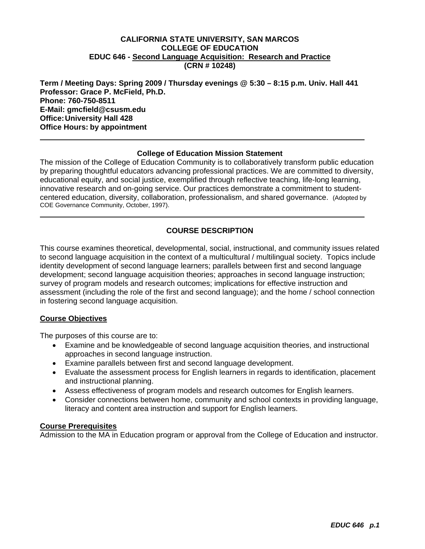#### **EDUC 646 - Second Language Acquisition: Research and Practice CALIFORNIA STATE UNIVERSITY, SAN MARCOS COLLEGE OF EDUCATION (CRN # 10248)**

**Term / Meeting Days: Spring 2009 / Thursday evenings @ 5:30 – 8:15 p.m. Univ. Hall 441 Professor: Grace P. McField, Ph.D. Phone: 760-750-8511 E-Mail: gmcfield@csusm.edu Office: University Hall 428 Office Hours: by appointment** 

#### **College of Education Mission Statement**

The mission of the College of Education Community is to collaboratively transform public education by preparing thoughtful educators advancing professional practices. We are committed to diversity, educational equity, and social justice, exemplified through reflective teaching, life-long learning, innovative research and on-going service. Our practices demonstrate a commitment to studentcentered education, diversity, collaboration, professionalism, and shared governance. (Adopted by COE Governance Community, October, 1997).

### **COURSE DESCRIPTION**

This course examines theoretical, developmental, social, instructional, and community issues related to second language acquisition in the context of a multicultural / multilingual society. Topics include identity development of second language learners; parallels between first and second language development; second language acquisition theories; approaches in second language instruction; survey of program models and research outcomes; implications for effective instruction and assessment (including the role of the first and second language); and the home / school connection in fostering second language acquisition.

#### **Course Objectives**

The purposes of this course are to:

- Examine and be knowledgeable of second language acquisition theories, and instructional approaches in second language instruction.
- Examine parallels between first and second language development.
- Evaluate the assessment process for English learners in regards to identification, placement and instructional planning.
- Assess effectiveness of program models and research outcomes for English learners.
- Consider connections between home, community and school contexts in providing language, literacy and content area instruction and support for English learners.

#### **Course Prerequisites**

Admission to the MA in Education program or approval from the College of Education and instructor.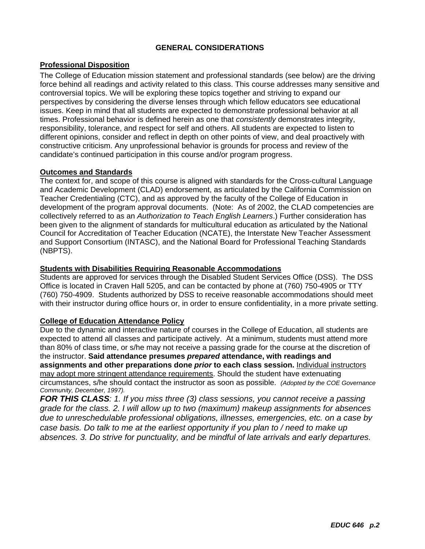#### **GENERAL CONSIDERATIONS**

### **Professional Disposition**

The College of Education mission statement and professional standards (see below) are the driving force behind all readings and activity related to this class. This course addresses many sensitive and controversial topics. We will be exploring these topics together and striving to expand our perspectives by considering the diverse lenses through which fellow educators see educational issues. Keep in mind that all students are expected to demonstrate professional behavior at all times. Professional behavior is defined herein as one that *consistently* demonstrates integrity, responsibility, tolerance, and respect for self and others. All students are expected to listen to different opinions, consider and reflect in depth on other points of view, and deal proactively with constructive criticism. Any unprofessional behavior is grounds for process and review of the candidate's continued participation in this course and/or program progress.

#### **Outcomes and Standards**

The context for, and scope of this course is aligned with standards for the Cross-cultural Language and Academic Development (CLAD) endorsement, as articulated by the California Commission on Teacher Credentialing (CTC), and as approved by the faculty of the College of Education in development of the program approval documents. (Note: As of 2002, the CLAD competencies are collectively referred to as an *Authorization to Teach English Learners*.) Further consideration has been given to the alignment of standards for multicultural education as articulated by the National Council for Accreditation of Teacher Education (NCATE), the Interstate New Teacher Assessment and Support Consortium (INTASC), and the National Board for Professional Teaching Standards (NBPTS).

#### **Students with Disabilities Requiring Reasonable Accommodations**

Students are approved for services through the Disabled Student Services Office (DSS). The DSS Office is located in Craven Hall 5205, and can be contacted by phone at (760) 750-4905 or TTY (760) 750-4909. Students authorized by DSS to receive reasonable accommodations should meet with their instructor during office hours or, in order to ensure confidentiality, in a more private setting.

#### **College of Education Attendance Policy**

 circumstances, s/he should contact the instructor as soon as possible. *(Adopted by the COE Governance*  Due to the dynamic and interactive nature of courses in the College of Education, all students are expected to attend all classes and participate actively. At a minimum, students must attend more than 80% of class time, or s/he may not receive a passing grade for the course at the discretion of the instructor. **Said attendance presumes** *prepared* **attendance, with readings and assignments and other preparations done** *prior* **to each class session.** Individual instructors may adopt more stringent attendance requirements. Should the student have extenuating *Community, December, 1997).* 

*FOR THIS CLASS: 1. If you miss three (3) class sessions, you cannot receive a passing grade for the class. 2. I will allow up to two (maximum) makeup assignments for absences due to unreschedulable professional obligations, illnesses, emergencies, etc. on a case by case basis. Do talk to me at the earliest opportunity if you plan to / need to make up absences. 3. Do strive for punctuality, and be mindful of late arrivals and early departures.*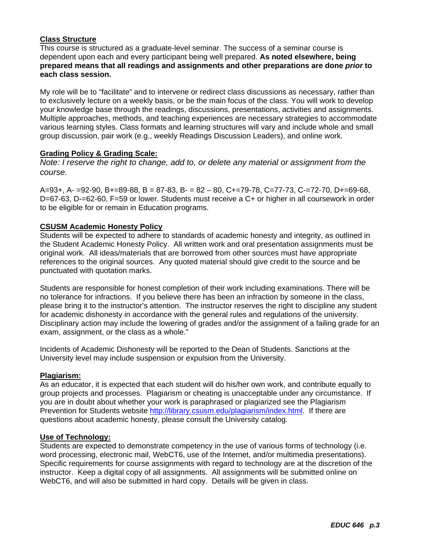### **Class Structure**

This course is structured as a graduate-level seminar. The success of a seminar course is dependent upon each and every participant being well prepared. **As noted elsewhere, being prepared means that all readings and assignments and other preparations are done** *prior* **to each class session.** 

My role will be to "facilitate" and to intervene or redirect class discussions as necessary, rather than to exclusively lecture on a weekly basis, or be the main focus of the class. You will work to develop your knowledge base through the readings, discussions, presentations, activities and assignments. Multiple approaches, methods, and teaching experiences are necessary strategies to accommodate various learning styles. Class formats and learning structures will vary and include whole and small group discussion, pair work (e.g., weekly Readings Discussion Leaders), and online work.

#### **Grading Policy & Grading Scale:**

*Note: I reserve the right to change, add to, or delete any material or assignment from the course.* 

A=93+, A- =92-90, B+=89-88, B = 87-83, B- = 82 – 80, C+=79-78, C=77-73, C-=72-70, D+=69-68, D=67-63, D-=62-60, F=59 or lower. Students must receive a C+ or higher in all coursework in order to be eligible for or remain in Education programs.

#### **CSUSM Academic Honesty Policy**

Students will be expected to adhere to standards of academic honesty and integrity, as outlined in the Student Academic Honesty Policy. All written work and oral presentation assignments must be original work. All ideas/materials that are borrowed from other sources must have appropriate references to the original sources. Any quoted material should give credit to the source and be punctuated with quotation marks.

Students are responsible for honest completion of their work including examinations. There will be no tolerance for infractions. If you believe there has been an infraction by someone in the class, please bring it to the instructor's attention. The instructor reserves the right to discipline any student for academic dishonesty in accordance with the general rules and regulations of the university. Disciplinary action may include the lowering of grades and/or the assignment of a failing grade for an exam, assignment, or the class as a whole."

Incidents of Academic Dishonesty will be reported to the Dean of Students. Sanctions at the University level may include suspension or expulsion from the University.

#### **Plagiarism:**

As an educator, it is expected that each student will do his/her own work, and contribute equally to group projects and processes. Plagiarism or cheating is unacceptable under any circumstance. If you are in doubt about whether your work is paraphrased or plagiarized see the Plagiarism Prevention for Students website http://library.csusm.edu/plagiarism/index.html. If there are questions about academic honesty, please consult the University catalog.

#### **Use of Technology:**

Students are expected to demonstrate competency in the use of various forms of technology (i.e. word processing, electronic mail, WebCT6, use of the Internet, and/or multimedia presentations). Specific requirements for course assignments with regard to technology are at the discretion of the instructor. Keep a digital copy of all assignments. All assignments will be submitted online on WebCT6, and will also be submitted in hard copy. Details will be given in class.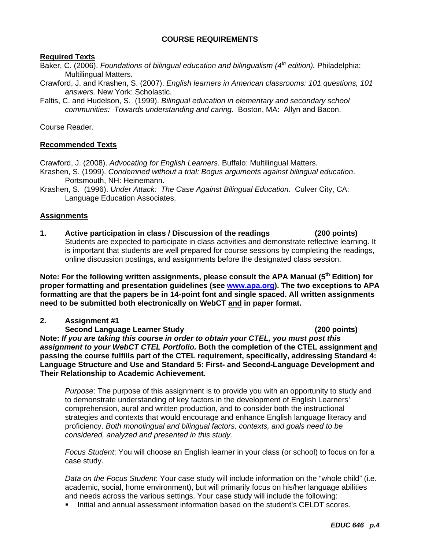#### **COURSE REQUIREMENTS**

#### **Required Texts**

- Baker, C. (2006). *Foundations of bilingual education and bilingualism (4th edition).* Philadelphia: Multilingual Matters.
- Crawford, J. and Krashen, S. (2007). *English learners in American classrooms: 101 questions, 101 answers.* New York: Scholastic.
- Faltis, C. and Hudelson, S. (1999). *Bilingual education in elementary and secondary school communities: Towards understanding and caring*. Boston, MA: Allyn and Bacon.

Course Reader.

#### **Recommended Texts**

Crawford, J. (2008). *Advocating for English Learners.* Buffalo: Multilingual Matters.

- Krashen, S. (1999). *Condemned without a trial: Bogus arguments against bilingual education*. Portsmouth, NH: Heinemann.
- Krashen, S. (1996). *Under Attack: The Case Against Bilingual Education*. Culver City, CA: Language Education Associates.

#### **Assignments**

**1. Active participation in class / Discussion of the readings (200 points)**  Students are expected to participate in class activities and demonstrate reflective learning. It is important that students are well prepared for course sessions by completing the readings, online discussion postings, and assignments before the designated class session.

Note: For the following written assignments, please consult the APA Manual (5<sup>th</sup> Edition) for **proper formatting and presentation guidelines (see www.apa.org). The two exceptions to APA formatting are that the papers be in 14-point font and single spaced. All written assignments need to be submitted both electronically on WebCT and in paper format.** 

#### **2. Assignment #1**

 **Second Language Learner Study (200 points) Note:** *If you are taking this course in order to obtain your CTEL, you must post this assignment to your WebCT CTEL Portfolio.* **Both the completion of the CTEL assignment and passing the course fulfills part of the CTEL requirement, specifically, addressing Standard 4: Language Structure and Use and Standard 5: First- and Second-Language Development and Their Relationship to Academic Achievement.** 

 *considered, analyzed and presented in this study. Purpose*: The purpose of this assignment is to provide you with an opportunity to study and to demonstrate understanding of key factors in the development of English Learners' comprehension, aural and written production, and to consider both the instructional strategies and contexts that would encourage and enhance English language literacy and proficiency. *Both monolingual and bilingual factors, contexts, and goals need to be* 

*Focus Student*: You will choose an English learner in your class (or school) to focus on for a case study.

*Data on the Focus Student*: Your case study will include information on the "whole child" (i.e. academic, social, home environment), but will primarily focus on his/her language abilities and needs across the various settings. Your case study will include the following:

Initial and annual assessment information based on the student's CELDT scores.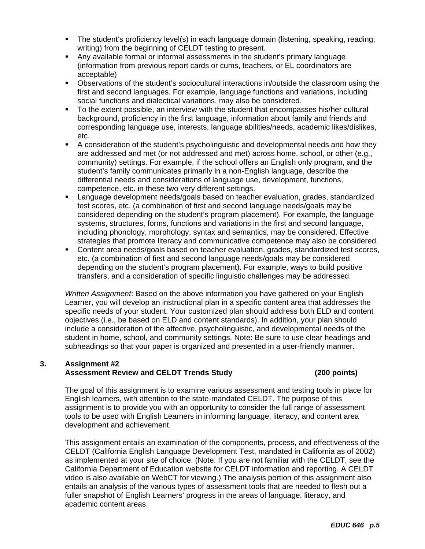- The student's proficiency level(s) in each language domain (listening, speaking, reading, writing) from the beginning of CELDT testing to present.
- Any available formal or informal assessments in the student's primary language (information from previous report cards or cums, teachers, or EL coordinators are acceptable)
- Observations of the student's sociocultural interactions in/outside the classroom using the first and second languages. For example, language functions and variations, including social functions and dialectical variations, may also be considered.
- To the extent possible, an interview with the student that encompasses his/her cultural background, proficiency in the first language, information about family and friends and corresponding language use, interests, language abilities/needs, academic likes/dislikes, etc.
- A consideration of the student's psycholinguistic and developmental needs and how they are addressed and met (or not addressed and met) across home, school, or other (e.g., community) settings. For example, if the school offers an English only program, and the student's family communicates primarily in a non-English language, describe the differential needs and considerations of language use, development, functions, competence, etc. in these two very different settings.
- Language development needs/goals based on teacher evaluation, grades, standardized test scores, etc. (a combination of first and second language needs/goals may be considered depending on the student's program placement). For example, the language systems, structures, forms, functions and variations in the first and second language, including phonology, morphology, syntax and semantics, may be considered. Effective strategies that promote literacy and communicative competence may also be considered.
- Content area needs/goals based on teacher evaluation, grades, standardized test scores, etc. (a combination of first and second language needs/goals may be considered depending on the student's program placement). For example, ways to build positive transfers, and a consideration of specific linguistic challenges may be addressed.

*Written Assignment*: Based on the above information you have gathered on your English Learner, you will develop an instructional plan in a specific content area that addresses the specific needs of your student. Your customized plan should address both ELD and content objectives (i.e., be based on ELD and content standards). In addition, your plan should include a consideration of the affective, psycholinguistic, and developmental needs of the student in home, school, and community settings. Note: Be sure to use clear headings and subheadings so that your paper is organized and presented in a user-friendly manner.

### **Assessment Review and CELDT Trends Study (200 points) 3. Assignment #2**

The goal of this assignment is to examine various assessment and testing tools in place for English learners, with attention to the state-mandated CELDT. The purpose of this assignment is to provide you with an opportunity to consider the full range of assessment tools to be used with English Learners in informing language, literacy, and content area development and achievement.

This assignment entails an examination of the components, process, and effectiveness of the CELDT (California English Language Development Test, mandated in California as of 2002) as implemented at your site of choice. (Note: If you are not familiar with the CELDT, see the California Department of Education website for CELDT information and reporting. A CELDT video is also available on WebCT for viewing.) The analysis portion of this assignment also entails an analysis of the various types of assessment tools that are needed to flesh out a fuller snapshot of English Learners' progress in the areas of language, literacy, and academic content areas.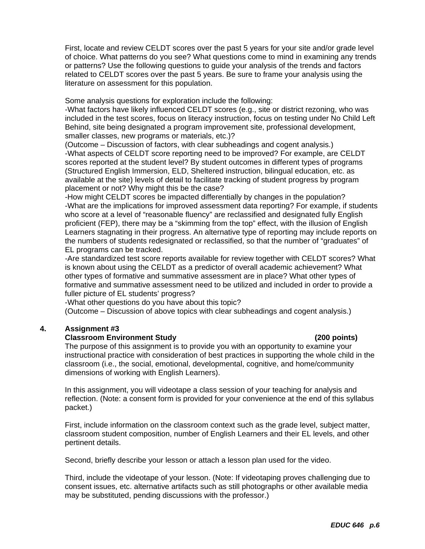First, locate and review CELDT scores over the past 5 years for your site and/or grade level of choice. What patterns do you see? What questions come to mind in examining any trends or patterns? Use the following questions to guide your analysis of the trends and factors related to CELDT scores over the past 5 years. Be sure to frame your analysis using the literature on assessment for this population.

Some analysis questions for exploration include the following:

-What factors have likely influenced CELDT scores (e.g., site or district rezoning, who was included in the test scores, focus on literacy instruction, focus on testing under No Child Left Behind, site being designated a program improvement site, professional development, smaller classes, new programs or materials, etc.)?

(Outcome – Discussion of factors, with clear subheadings and cogent analysis.) -What aspects of CELDT score reporting need to be improved? For example, are CELDT scores reported at the student level? By student outcomes in different types of programs (Structured English Immersion, ELD, Sheltered instruction, bilingual education, etc. as available at the site) levels of detail to facilitate tracking of student progress by program placement or not? Why might this be the case?

-How might CELDT scores be impacted differentially by changes in the population? -What are the implications for improved assessment data reporting? For example, if students who score at a level of "reasonable fluency" are reclassified and designated fully English proficient (FEP), there may be a "skimming from the top" effect, with the illusion of English Learners stagnating in their progress. An alternative type of reporting may include reports on the numbers of students redesignated or reclassified, so that the number of "graduates" of EL programs can be tracked.

-Are standardized test score reports available for review together with CELDT scores? What is known about using the CELDT as a predictor of overall academic achievement? What other types of formative and summative assessment are in place? What other types of formative and summative assessment need to be utilized and included in order to provide a fuller picture of EL students' progress?

-What other questions do you have about this topic?

(Outcome – Discussion of above topics with clear subheadings and cogent analysis.)

#### **4. Assignment #3**

#### **Classroom Environment Study (200 points)**

The purpose of this assignment is to provide you with an opportunity to examine your instructional practice with consideration of best practices in supporting the whole child in the classroom (i.e., the social, emotional, developmental, cognitive, and home/community dimensions of working with English Learners).

In this assignment, you will videotape a class session of your teaching for analysis and reflection. (Note: a consent form is provided for your convenience at the end of this syllabus packet.)

First, include information on the classroom context such as the grade level, subject matter, classroom student composition, number of English Learners and their EL levels, and other pertinent details.

Second, briefly describe your lesson or attach a lesson plan used for the video.

Third, include the videotape of your lesson. (Note: If videotaping proves challenging due to consent issues, etc. alternative artifacts such as still photographs or other available media may be substituted, pending discussions with the professor.)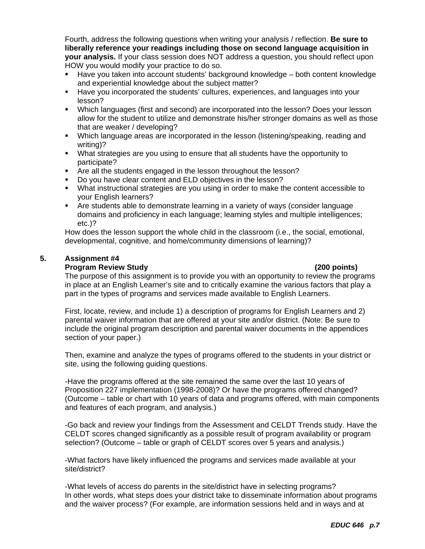Fourth, address the following questions when writing your analysis / reflection. **Be sure to liberally reference your readings including those on second language acquisition in your analysis.** If your class session does NOT address a question, you should reflect upon HOW you would modify your practice to do so.

- Have you taken into account students' background knowledge both content knowledge and experiential knowledge about the subject matter?
- Have you incorporated the students' cultures, experiences, and languages into your lesson?
- Which languages (first and second) are incorporated into the lesson? Does your lesson allow for the student to utilize and demonstrate his/her stronger domains as well as those that are weaker / developing?
- Which language areas are incorporated in the lesson (listening/speaking, reading and writing)?
- What strategies are you using to ensure that all students have the opportunity to participate?
- **F** Are all the students engaged in the lesson throughout the lesson?
- Do you have clear content and ELD objectives in the lesson?
- What instructional strategies are you using in order to make the content accessible to your English learners?
- Are students able to demonstrate learning in a variety of ways (consider language domains and proficiency in each language; learning styles and multiple intelligences; etc.)?

How does the lesson support the whole child in the classroom (i.e., the social, emotional, developmental, cognitive, and home/community dimensions of learning)?

#### 5. **5. Assignment #4**

#### **Program Review Study (200 points)**

The purpose of this assignment is to provide you with an opportunity to review the programs in place at an English Learner's site and to critically examine the various factors that play a part in the types of programs and services made available to English Learners.

First, locate, review, and include 1) a description of programs for English Learners and 2) parental waiver information that are offered at your site and/or district. (Note: Be sure to include the original program description and parental waiver documents in the appendices section of your paper.)

Then, examine and analyze the types of programs offered to the students in your district or site, using the following guiding questions.

-Have the programs offered at the site remained the same over the last 10 years of Proposition 227 implementation (1998-2008)? Or have the programs offered changed? (Outcome – table or chart with 10 years of data and programs offered, with main components and features of each program, and analysis.)

-Go back and review your findings from the Assessment and CELDT Trends study. Have the CELDT scores changed significantly as a possible result of program availability or program selection? (Outcome – table or graph of CELDT scores over 5 years and analysis.)

-What factors have likely influenced the programs and services made available at your site/district?

-What levels of access do parents in the site/district have in selecting programs? In other words, what steps does your district take to disseminate information about programs and the waiver process? (For example, are information sessions held and in ways and at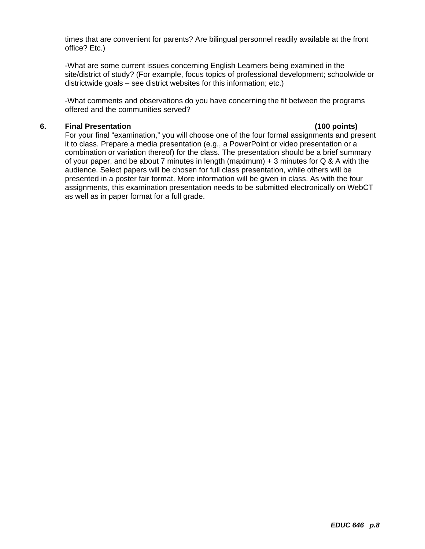times that are convenient for parents? Are bilingual personnel readily available at the front office? Etc.)

-What are some current issues concerning English Learners being examined in the site/district of study? (For example, focus topics of professional development; schoolwide or districtwide goals – see district websites for this information; etc.)

-What comments and observations do you have concerning the fit between the programs offered and the communities served?

#### **6. Final Presentation (100 points)**

For your final "examination," you will choose one of the four formal assignments and present it to class. Prepare a media presentation (e.g., a PowerPoint or video presentation or a combination or variation thereof) for the class. The presentation should be a brief summary of your paper, and be about 7 minutes in length (maximum)  $+3$  minutes for Q & A with the audience. Select papers will be chosen for full class presentation, while others will be presented in a poster fair format. More information will be given in class. As with the four assignments, this examination presentation needs to be submitted electronically on WebCT as well as in paper format for a full grade.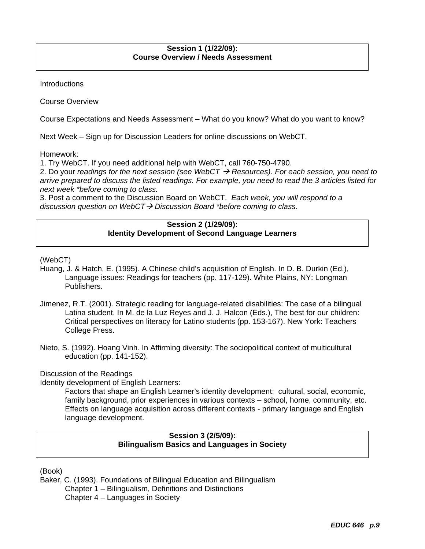#### **Session 1 (1/22/09): Course Overview / Needs Assessment**

**Introductions** 

Course Overview

Course Expectations and Needs Assessment – What do you know? What do you want to know?

Next Week – Sign up for Discussion Leaders for online discussions on WebCT.

Homework:

1. Try WebCT. If you need additional help with WebCT, call 760-750-4790.

2. Do your *readings for the next session (see WebCT → Resources). For each session, you need to arrive prepared to discuss the listed readings. For example, you need to read the 3 articles listed for next week \*before coming to class.* 

3. Post a comment to the Discussion Board on WebCT. *Each week, you will respond to a discussion question on WebCT→ Discussion Board \*before coming to class.* 

#### **Session 2 (1/29/09): Identity Development of Second Language Learners**

(WebCT)

- Huang, J. & Hatch, E. (1995). A Chinese child's acquisition of English. In D. B. Durkin (Ed.), Language issues: Readings for teachers (pp. 117-129). White Plains, NY: Longman Publishers.
- College Press. Jimenez, R.T. (2001). Strategic reading for language-related disabilities: The case of a bilingual Latina student. In M. de la Luz Reyes and J. J. Halcon (Eds.), The best for our children: Critical perspectives on literacy for Latino students (pp. 153-167). New York: Teachers
- Nieto, S. (1992). Hoang Vinh. In Affirming diversity: The sociopolitical context of multicultural education (pp. 141-152).

Discussion of the Readings

Identity development of English Learners:

Factors that shape an English Learner's identity development: cultural, social, economic, family background, prior experiences in various contexts – school, home, community, etc. Effects on language acquisition across different contexts - primary language and English language development.

### **Session 3 (2/5/09): Bilingualism Basics and Languages in Society**

(Book)

Baker, C. (1993). Foundations of Bilingual Education and Bilingualism Chapter 1 – Bilingualism, Definitions and Distinctions Chapter 4 – Languages in Society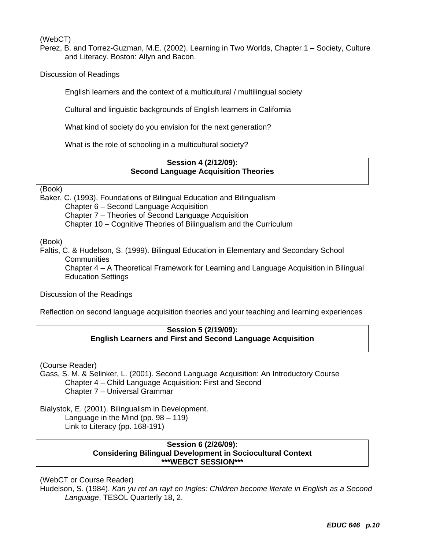(WebCT)

Perez, B. and Torrez-Guzman, M.E. (2002). Learning in Two Worlds, Chapter 1 – Society, Culture and Literacy. Boston: Allyn and Bacon.

Discussion of Readings

English learners and the context of a multicultural / multilingual society

Cultural and linguistic backgrounds of English learners in California

What kind of society do you envision for the next generation?

What is the role of schooling in a multicultural society?

#### **Session 4 (2/12/09): Second Language Acquisition Theories**

(Book)

Baker, C. (1993). Foundations of Bilingual Education and Bilingualism Chapter 6 – Second Language Acquisition Chapter 7 – Theories of Second Language Acquisition Chapter 10 – Cognitive Theories of Bilingualism and the Curriculum

(Book)

Faltis, C. & Hudelson, S. (1999). Bilingual Education in Elementary and Secondary School **Communities** 

Chapter 4 – A Theoretical Framework for Learning and Language Acquisition in Bilingual Education Settings

Discussion of the Readings

Reflection on second language acquisition theories and your teaching and learning experiences

#### **Session 5 (2/19/09): English Learners and First and Second Language Acquisition**

(Course Reader)

Gass, S. M. & Selinker, L. (2001). Second Language Acquisition: An Introductory Course Chapter 4 – Child Language Acquisition: First and Second Chapter 7 – Universal Grammar

Bialystok, E. (2001). Bilingualism in Development. Language in the Mind (pp. 98 – 119) Link to Literacy (pp. 168-191)

#### **Session 6 (2/26/09): Considering Bilingual Development in Sociocultural Context \*\*\*WEBCT SESSION\*\*\***

(WebCT or Course Reader)

Hudelson, S. (1984). *Kan yu ret an rayt en Ingles: Children become literate in English as a Second Language*, TESOL Quarterly 18, 2.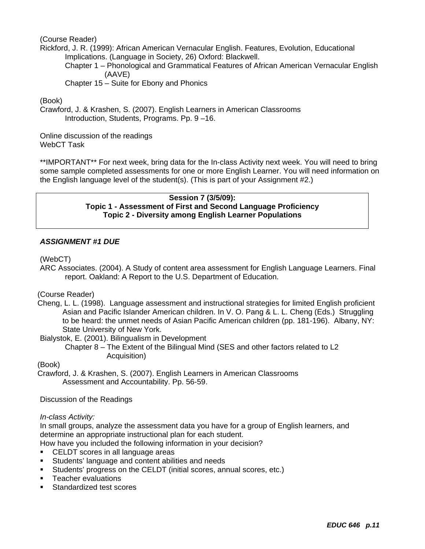(Course Reader)

Rickford, J. R. (1999): African American Vernacular English. Features, Evolution, Educational Implications. (Language in Society, 26) Oxford: Blackwell.

Chapter 1 – Phonological and Grammatical Features of African American Vernacular English (AAVE)

Chapter 15 – Suite for Ebony and Phonics

(Book)

Crawford, J. & Krashen, S. (2007). English Learners in American Classrooms Introduction, Students, Programs. Pp. 9 –16.

Online discussion of the readings WebCT Task

\*\*IMPORTANT\*\* For next week, bring data for the In-class Activity next week. You will need to bring some sample completed assessments for one or more English Learner. You will need information on the English language level of the student(s). (This is part of your Assignment #2.)

> **Session 7 (3/5/09): Topic 1 - Assessment of First and Second Language Proficiency Topic 2 - Diversity among English Learner Populations**

#### *ASSIGNMENT #1 DUE*

(WebCT)

ARC Associates. (2004). A Study of content area assessment for English Language Learners. Final report. Oakland: A Report to the U.S. Department of Education.

(Course Reader)

Cheng, L. L. (1998). Language assessment and instructional strategies for limited English proficient Asian and Pacific Islander American children. In V. O. Pang & L. L. Cheng (Eds.) Struggling to be heard: the unmet needs of Asian Pacific American children (pp. 181-196). Albany, NY: State University of New York.

Bialystok, E. (2001). Bilingualism in Development

Chapter 8 – The Extent of the Bilingual Mind (SES and other factors related to L2 Acquisition)

(Book)

Crawford, J. & Krashen, S. (2007). English Learners in American Classrooms Assessment and Accountability. Pp. 56-59.

Discussion of the Readings

*In-class Activity:* 

In small groups, analyze the assessment data you have for a group of English learners, and determine an appropriate instructional plan for each student.

How have you included the following information in your decision?

- **CELDT** scores in all language areas
- Students' language and content abilities and needs
- Students' progress on the CELDT (initial scores, annual scores, etc.)
- **Teacher evaluations**
- Standardized test scores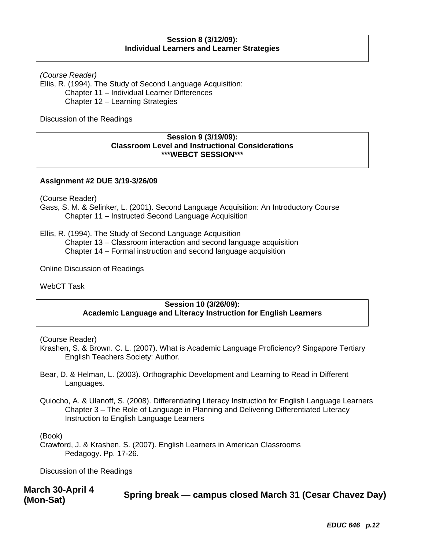#### **Session 8 (3/12/09): Individual Learners and Learner Strategies**

*(Course Reader)* 

Ellis, R. (1994). The Study of Second Language Acquisition: Chapter 11 – Individual Learner Differences Chapter 12 – Learning Strategies

Discussion of the Readings

#### **Session 9 (3/19/09): Classroom Level and Instructional Considerations \*\*\*WEBCT SESSION\*\*\***

#### **Assignment #2 DUE 3/19-3/26/09**

(Course Reader)

Gass, S. M. & Selinker, L. (2001). Second Language Acquisition: An Introductory Course Chapter 11 – Instructed Second Language Acquisition

Ellis, R. (1994). The Study of Second Language Acquisition

Chapter 13 – Classroom interaction and second language acquisition

Chapter 14 – Formal instruction and second language acquisition

Online Discussion of Readings

WebCT Task

#### **Session 10 (3/26/09): Academic Language and Literacy Instruction for English Learners**

(Course Reader)

- Krashen, S. & Brown. C. L. (2007). What is Academic Language Proficiency? Singapore Tertiary English Teachers Society: Author.
- Bear, D. & Helman, L. (2003). Orthographic Development and Learning to Read in Different Languages.
- Quiocho, A. & Ulanoff, S. (2008). Differentiating Literacy Instruction for English Language Learners Chapter 3 – The Role of Language in Planning and Delivering Differentiated Literacy Instruction to English Language Learners

(Book)

Crawford, J. & Krashen, S. (2007). English Learners in American Classrooms Pedagogy. Pp. 17-26.

Discussion of the Readings

**March 30-April 4 Spring break — campus closed March 31 (Cesar Chavez Day) (Mon-Sat)** 

*EDUC 646 p.12*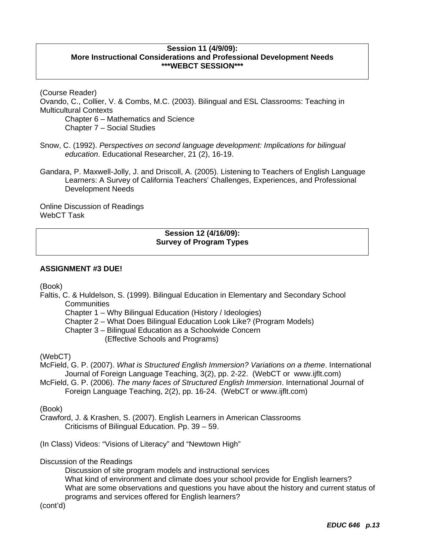#### **Session 11 (4/9/09): More Instructional Considerations and Professional Development Needs \*\*\*WEBCT SESSION\*\*\***

(Course Reader) Ovando, C., Collier, V. & Combs, M.C. (2003). Bilingual and ESL Classrooms: Teaching in Multicultural Contexts Chapter 6 – Mathematics and Science Chapter 7 – Social Studies

Snow, C. (1992). *Perspectives on second language development: Implications for bilingual education*. Educational Researcher, 21 (2), 16-19.

Gandara, P. Maxwell-Jolly, J. and Driscoll, A. (2005). Listening to Teachers of English Language Learners: A Survey of California Teachers' Challenges, Experiences, and Professional Development Needs

Online Discussion of Readings WebCT Task

#### **Session 12 (4/16/09): Survey of Program Types**

#### **ASSIGNMENT #3 DUE!**

(Book)

Faltis, C. & Huldelson, S. (1999). Bilingual Education in Elementary and Secondary School **Communities** 

Chapter 1 – Why Bilingual Education (History / Ideologies)

Chapter 2 – What Does Bilingual Education Look Like? (Program Models)

Chapter 3 – Bilingual Education as a Schoolwide Concern (Effective Schools and Programs)

(WebCT)

McField, G. P. (2007). *What is Structured English Immersion? Variations on a theme*. International Journal of Foreign Language Teaching, 3(2), pp. 2-22. (WebCT or www.ijflt.com)

McField, G. P. (2006). *The many faces of Structured English Immersion*. International Journal of Foreign Language Teaching, 2(2), pp. 16-24. (WebCT or www.ijflt.com)

(Book)

Crawford, J. & Krashen, S. (2007). English Learners in American Classrooms Criticisms of Bilingual Education. Pp. 39 – 59.

(In Class) Videos: "Visions of Literacy" and "Newtown High"

Discussion of the Readings

Discussion of site program models and instructional services

What kind of environment and climate does your school provide for English learners? What are some observations and questions you have about the history and current status of programs and services offered for English learners?

(cont'd)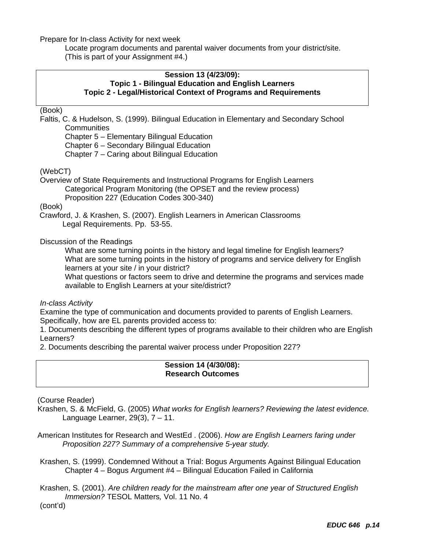Prepare for In-class Activity for next week

Locate program documents and parental waiver documents from your district/site. (This is part of your Assignment #4.)

#### **Session 13 (4/23/09): Topic 1 - Bilingual Education and English Learners Topic 2 - Legal/Historical Context of Programs and Requirements**

(Book)

Faltis, C. & Hudelson, S. (1999). Bilingual Education in Elementary and Secondary School **Communities** 

Chapter 5 – Elementary Bilingual Education Chapter 6 – Secondary Bilingual Education Chapter 7 – Caring about Bilingual Education

#### (WebCT)

Overview of State Requirements and Instructional Programs for English Learners Categorical Program Monitoring (the OPSET and the review process)

Proposition 227 (Education Codes 300-340)

(Book)

 Crawford, J. & Krashen, S. (2007). English Learners in American Classrooms Legal Requirements. Pp. 53-55.

#### Discussion of the Readings

What are some turning points in the history and legal timeline for English learners? What are some turning points in the history of programs and service delivery for English learners at your site / in your district?

What questions or factors seem to drive and determine the programs and services made available to English Learners at your site/district?

*In-class Activity* 

Examine the type of communication and documents provided to parents of English Learners. Specifically, how are EL parents provided access to:

1. Documents describing the different types of programs available to their children who are English Learners?

2. Documents describing the parental waiver process under Proposition 227?

#### **Session 14 (4/30/08): Research Outcomes**

(Course Reader)

Krashen, S. & McField, G. (2005) *What works for English learners? Reviewing the latest evidence.*  Language Learner, 29(3), 7 – 11.

American Institutes for Research and WestEd . (2006). *How are English Learners faring under Proposition 227? Summary of a comprehensive 5-year study.* 

 Krashen, S. (1999). Condemned Without a Trial: Bogus Arguments Against Bilingual Education Chapter 4 – Bogus Argument #4 – Bilingual Education Failed in California

Krashen, S. (2001). *Are children ready for the mainstream after one year of Structured English Immersion?* TESOL Matters*,* Vol. 11 No. 4

(cont'd)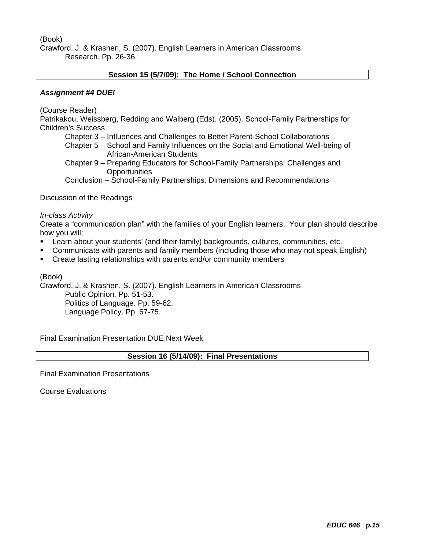(Book)

Crawford, J. & Krashen, S. (2007). English Learners in American Classrooms Research. Pp. 26-36.

#### **Session 15 (5/7/09): The Home / School Connection**

#### *Assignment #4 DUE!*

(Course Reader)

Patrikakou, Weissberg, Redding and Walberg (Eds). (2005). School-Family Partnerships for Children's Success

Chapter 3 – Influences and Challenges to Better Parent-School Collaborations

 Chapter 5 – School and Family Influences on the Social and Emotional Well-being of African-American Students

Chapter 9 – Preparing Educators for School-Family Partnerships: Challenges and **Opportunities** 

Conclusion – School-Family Partnerships: Dimensions and Recommendations

Discussion of the Readings

#### *In-class Activity*

Create a "communication plan" with the families of your English learners. Your plan should describe how you will:

- Learn about your students' (and their family) backgrounds, cultures, communities, etc.
- Communicate with parents and family members (including those who may not speak English)
- **EXECTE 2018 Create lasting relationships with parents and/or community members**

(Book)

Crawford, J. & Krashen, S. (2007). English Learners in American Classrooms

Public Opinion. Pp. 51-53. Politics of Language. Pp. 59-62. Language Policy. Pp. 67-75.

Final Examination Presentation DUE Next Week

#### **Session 16 (5/14/09): Final Presentations**

Final Examination Presentations

Course Evaluations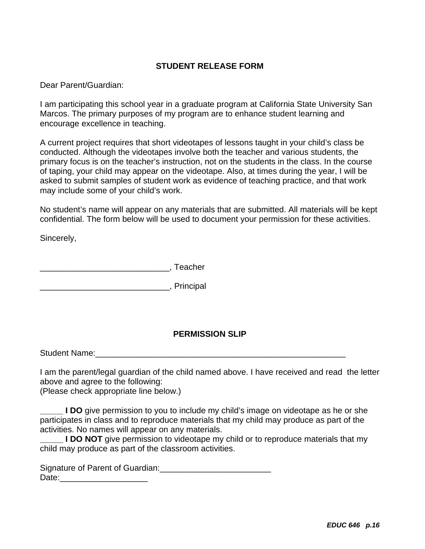### **STUDENT RELEASE FORM**

Dear Parent/Guardian:

encourage excellence in teaching. I am participating this school year in a graduate program at California State University San Marcos. The primary purposes of my program are to enhance student learning and

A current project requires that short videotapes of lessons taught in your child's class be conducted. Although the videotapes involve both the teacher and various students, the primary focus is on the teacher's instruction, not on the students in the class. In the course of taping, your child may appear on the videotape. Also, at times during the year, I will be asked to submit samples of student work as evidence of teaching practice, and that work may include some of your child's work.

No student's name will appear on any materials that are submitted. All materials will be kept confidential. The form below will be used to document your permission for these activities.

Sincerely,

\_\_\_\_\_\_\_\_\_\_\_\_\_\_\_\_\_\_\_\_\_\_\_\_\_\_\_\_, Teacher

\_\_\_\_\_\_\_\_\_\_\_\_\_\_\_\_\_\_\_\_\_\_\_\_\_\_\_\_, Principal

## **PERMISSION SLIP**

Student Name:\_\_\_\_\_\_\_\_\_\_\_\_\_\_\_\_\_\_\_\_\_\_\_\_\_\_\_\_\_\_\_\_\_\_\_\_\_\_\_\_\_\_\_\_\_\_\_\_\_\_\_\_\_\_

I am the parent/legal guardian of the child named above. I have received and read the letter above and agree to the following:

(Please check appropriate line below.)

**I DO** give permission to you to include my child's image on videotape as he or she participates in class and to reproduce materials that my child may produce as part of the activities. No names will appear on any materials.

**I DO NOT** give permission to videotape my child or to reproduce materials that my child may produce as part of the classroom activities.

Signature of Parent of Guardian: Date:\_\_\_\_\_\_\_\_\_\_\_\_\_\_\_\_\_\_\_